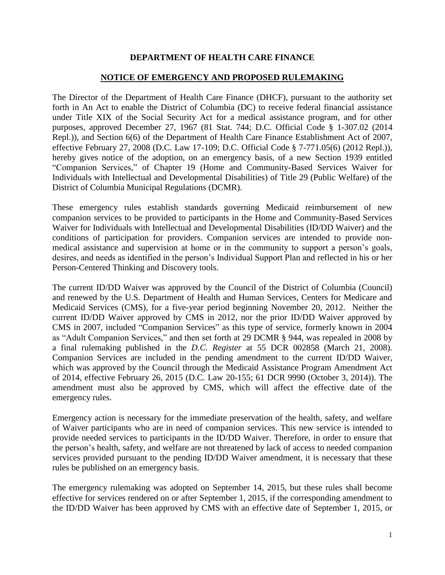## **DEPARTMENT OF HEALTH CARE FINANCE**

## **NOTICE OF EMERGENCY AND PROPOSED RULEMAKING**

The Director of the Department of Health Care Finance (DHCF), pursuant to the authority set forth in An Act to enable the District of Columbia (DC) to receive federal financial assistance under Title XIX of the Social Security Act for a medical assistance program, and for other purposes, approved December 27, 1967 (81 Stat. 744; D.C. Official Code § 1-307.02 (2014 Repl.)), and Section 6(6) of the Department of Health Care Finance Establishment Act of 2007, effective February 27, 2008 (D.C. Law 17-109; D.C. Official Code § 7-771.05(6) (2012 Repl.)), hereby gives notice of the adoption, on an emergency basis, of a new Section 1939 entitled "Companion Services," of Chapter 19 (Home and Community-Based Services Waiver for Individuals with Intellectual and Developmental Disabilities) of Title 29 (Public Welfare) of the District of Columbia Municipal Regulations (DCMR).

These emergency rules establish standards governing Medicaid reimbursement of new companion services to be provided to participants in the Home and Community-Based Services Waiver for Individuals with Intellectual and Developmental Disabilities (ID/DD Waiver) and the conditions of participation for providers. Companion services are intended to provide nonmedical assistance and supervision at home or in the community to support a person's goals, desires, and needs as identified in the person's Individual Support Plan and reflected in his or her Person-Centered Thinking and Discovery tools.

The current ID/DD Waiver was approved by the Council of the District of Columbia (Council) and renewed by the U.S. Department of Health and Human Services, Centers for Medicare and Medicaid Services (CMS), for a five-year period beginning November 20, 2012. Neither the current ID/DD Waiver approved by CMS in 2012, nor the prior ID/DD Waiver approved by CMS in 2007, included "Companion Services" as this type of service, formerly known in 2004 as "Adult Companion Services," and then set forth at 29 DCMR § 944, was repealed in 2008 by a final rulemaking published in the *D.C. Register* at 55 DCR 002858 (March 21, 2008). Companion Services are included in the pending amendment to the current ID/DD Waiver, which was approved by the Council through the Medicaid Assistance Program Amendment Act of 2014, effective February 26, 2015 (D.C. Law 20-155; 61 DCR 9990 (October 3, 2014)). The amendment must also be approved by CMS, which will affect the effective date of the emergency rules.

Emergency action is necessary for the immediate preservation of the health, safety, and welfare of Waiver participants who are in need of companion services. This new service is intended to provide needed services to participants in the ID/DD Waiver. Therefore, in order to ensure that the person's health, safety, and welfare are not threatened by lack of access to needed companion services provided pursuant to the pending ID/DD Waiver amendment, it is necessary that these rules be published on an emergency basis.

The emergency rulemaking was adopted on September 14, 2015, but these rules shall become effective for services rendered on or after September 1, 2015, if the corresponding amendment to the ID/DD Waiver has been approved by CMS with an effective date of September 1, 2015, or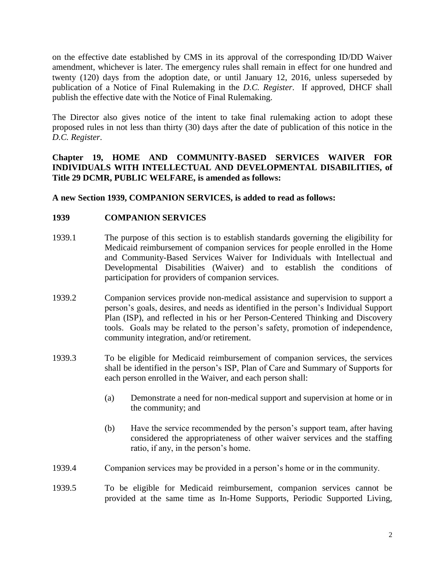on the effective date established by CMS in its approval of the corresponding ID/DD Waiver amendment, whichever is later. The emergency rules shall remain in effect for one hundred and twenty (120) days from the adoption date, or until January 12, 2016, unless superseded by publication of a Notice of Final Rulemaking in the *D.C. Register*. If approved, DHCF shall publish the effective date with the Notice of Final Rulemaking.

The Director also gives notice of the intent to take final rulemaking action to adopt these proposed rules in not less than thirty (30) days after the date of publication of this notice in the *D.C. Register*.

**Chapter 19, HOME AND COMMUNITY-BASED SERVICES WAIVER FOR INDIVIDUALS WITH INTELLECTUAL AND DEVELOPMENTAL DISABILITIES, of Title 29 DCMR, PUBLIC WELFARE, is amended as follows:** 

**A new Section 1939, COMPANION SERVICES, is added to read as follows:**

## **1939 COMPANION SERVICES**

- 1939.1 The purpose of this section is to establish standards governing the eligibility for Medicaid reimbursement of companion services for people enrolled in the Home and Community-Based Services Waiver for Individuals with Intellectual and Developmental Disabilities (Waiver) and to establish the conditions of participation for providers of companion services.
- 1939.2 Companion services provide non-medical assistance and supervision to support a person's goals, desires, and needs as identified in the person's Individual Support Plan (ISP), and reflected in his or her Person-Centered Thinking and Discovery tools. Goals may be related to the person's safety, promotion of independence, community integration, and/or retirement.
- 1939.3 To be eligible for Medicaid reimbursement of companion services, the services shall be identified in the person's ISP, Plan of Care and Summary of Supports for each person enrolled in the Waiver, and each person shall:
	- (a) Demonstrate a need for non-medical support and supervision at home or in the community; and
	- (b) Have the service recommended by the person's support team, after having considered the appropriateness of other waiver services and the staffing ratio, if any, in the person's home.
- 1939.4 Companion services may be provided in a person's home or in the community.
- 1939.5 To be eligible for Medicaid reimbursement, companion services cannot be provided at the same time as In-Home Supports, Periodic Supported Living,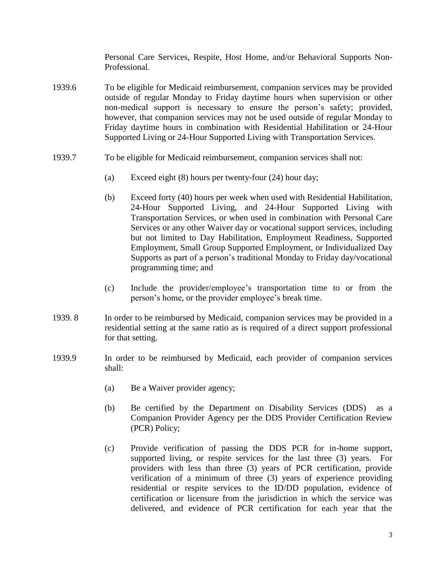Personal Care Services, Respite, Host Home, and/or Behavioral Supports Non-Professional.

- 1939.6 To be eligible for Medicaid reimbursement, companion services may be provided outside of regular Monday to Friday daytime hours when supervision or other non-medical support is necessary to ensure the person's safety; provided, however, that companion services may not be used outside of regular Monday to Friday daytime hours in combination with Residential Habilitation or 24-Hour Supported Living or 24-Hour Supported Living with Transportation Services.
- 1939.7 To be eligible for Medicaid reimbursement, companion services shall not:
	- (a) Exceed eight (8) hours per twenty-four (24) hour day;
	- (b) Exceed forty (40) hours per week when used with Residential Habilitation, 24-Hour Supported Living, and 24-Hour Supported Living with Transportation Services, or when used in combination with Personal Care Services or any other Waiver day or vocational support services, including but not limited to Day Habilitation, Employment Readiness, Supported Employment, Small Group Supported Employment, or Individualized Day Supports as part of a person's traditional Monday to Friday day/vocational programming time; and
	- (c) Include the provider/employee's transportation time to or from the person's home, or the provider employee's break time.
- 1939. 8 In order to be reimbursed by Medicaid, companion services may be provided in a residential setting at the same ratio as is required of a direct support professional for that setting.
- 1939.9 In order to be reimbursed by Medicaid, each provider of companion services shall:
	- (a) Be a Waiver provider agency;
	- (b) Be certified by the Department on Disability Services (DDS) as a Companion Provider Agency per the DDS Provider Certification Review (PCR) Policy;
	- (c) Provide verification of passing the DDS PCR for in-home support, supported living, or respite services for the last three (3) years. For providers with less than three (3) years of PCR certification, provide verification of a minimum of three (3) years of experience providing residential or respite services to the ID/DD population, evidence of certification or licensure from the jurisdiction in which the service was delivered, and evidence of PCR certification for each year that the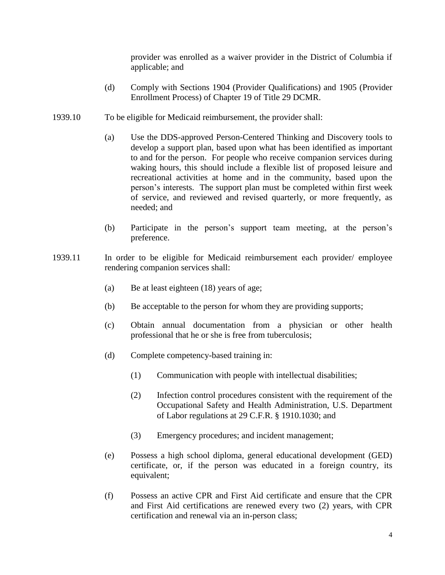provider was enrolled as a waiver provider in the District of Columbia if applicable; and

- (d) Comply with Sections 1904 (Provider Qualifications) and 1905 (Provider Enrollment Process) of Chapter 19 of Title 29 DCMR.
- 1939.10 To be eligible for Medicaid reimbursement, the provider shall:
	- (a) Use the DDS-approved Person-Centered Thinking and Discovery tools to develop a support plan, based upon what has been identified as important to and for the person. For people who receive companion services during waking hours, this should include a flexible list of proposed leisure and recreational activities at home and in the community, based upon the person's interests. The support plan must be completed within first week of service, and reviewed and revised quarterly, or more frequently, as needed; and
	- (b) Participate in the person's support team meeting, at the person's preference.
- 1939.11 In order to be eligible for Medicaid reimbursement each provider/ employee rendering companion services shall:
	- (a) Be at least eighteen (18) years of age;
	- (b) Be acceptable to the person for whom they are providing supports;
	- (c) Obtain annual documentation from a physician or other health professional that he or she is free from tuberculosis;
	- (d) Complete competency-based training in:
		- (1) Communication with people with intellectual disabilities;
		- (2) Infection control procedures consistent with the requirement of the Occupational Safety and Health Administration, U.S. Department of Labor regulations at 29 C.F.R. § 1910.1030; and
		- (3) Emergency procedures; and incident management;
	- (e) Possess a high school diploma, general educational development (GED) certificate, or, if the person was educated in a foreign country, its equivalent;
	- (f) Possess an active CPR and First Aid certificate and ensure that the CPR and First Aid certifications are renewed every two (2) years, with CPR certification and renewal via an in-person class;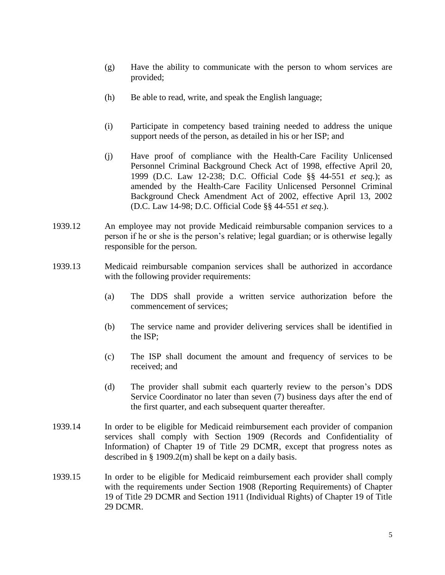- (g) Have the ability to communicate with the person to whom services are provided;
- (h) Be able to read, write, and speak the English language;
- (i) Participate in competency based training needed to address the unique support needs of the person, as detailed in his or her ISP; and
- (j) Have proof of compliance with the Health-Care Facility Unlicensed Personnel Criminal Background Check Act of 1998, effective April 20, 1999 (D.C. Law 12-238; D.C. Official Code §§ 44-551 *et seq.*); as amended by the Health-Care Facility Unlicensed Personnel Criminal Background Check Amendment Act of 2002, effective April 13, 2002 (D.C. Law 14-98; D.C. Official Code §§ 44-551 *et seq*.).
- 1939.12 An employee may not provide Medicaid reimbursable companion services to a person if he or she is the person's relative; legal guardian; or is otherwise legally responsible for the person.
- 1939.13 Medicaid reimbursable companion services shall be authorized in accordance with the following provider requirements:
	- (a) The DDS shall provide a written service authorization before the commencement of services;
	- (b) The service name and provider delivering services shall be identified in the ISP;
	- (c) The ISP shall document the amount and frequency of services to be received; and
	- (d) The provider shall submit each quarterly review to the person's DDS Service Coordinator no later than seven (7) business days after the end of the first quarter, and each subsequent quarter thereafter.
- 1939.14 In order to be eligible for Medicaid reimbursement each provider of companion services shall comply with Section 1909 (Records and Confidentiality of Information) of Chapter 19 of Title 29 DCMR, except that progress notes as described in § 1909.2(m) shall be kept on a daily basis.
- 1939.15 In order to be eligible for Medicaid reimbursement each provider shall comply with the requirements under Section 1908 (Reporting Requirements) of Chapter 19 of Title 29 DCMR and Section 1911 (Individual Rights) of Chapter 19 of Title 29 DCMR.